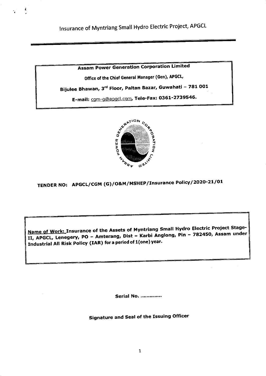£

**Assam Power Generation Corporation Limited** 

Office of the Chief General Manager (Gen), APGCL,

Bijulee Bhawan, 3<sup>rd</sup> Floor, Paltan Bazar, Guwahati - 781 001

E-mail: cgm-g@apgcl.com, Tele-Fax: 0361-2739546.



TENDER NO: APGCL/CGM (G)/O&M/MSHEP/Insurance Policy/2020-21/01

Name of Work: Insurance of the Assets of Myntriang Small Hydro Electric Project Stage-II, APGCL, Lenegery, PO - Amterang, Dist - Karbi Anglong, Pin - 782450, Assam under Industrial All Risk Policy (IAR) for a period of 1(one) year.

Serial No. ..............

**Signature and Seal of the Issuing Officer**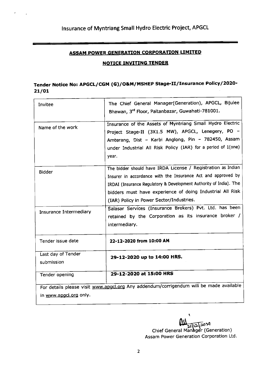### ASSAM POWER GENERATION CORPORATION LIMITED

#### **NOTICE INVITING TENDER**

## Tender Notice No: APGCL/CGM (G)/O&M/MSHEP Stage-II/Insurance Policy/2020-2t/ot

| Invitee                          | The Chief General Manager(Generation), APGCL, Bijulee<br>Bhawan, 3rd Floor, Paltanbazar, Guwahati-781001.                                                                                                                                                                                                   |
|----------------------------------|-------------------------------------------------------------------------------------------------------------------------------------------------------------------------------------------------------------------------------------------------------------------------------------------------------------|
| Name of the work                 | Insurance of the Assets of Myntriang Small Hydro Electric<br>Project Stage-II (3X1.5 MW), APGCL, Lenegery, PO -<br>Amterang, Dist - Karbi Anglong, Pin - 782450, Assam<br>under Industrial All Risk Policy (IAR) for a period of 1(one)<br>year.                                                            |
| <b>Bidder</b>                    | The bidder should have IRDA License / Registration as Indian<br>Insurer in accordance with the Insurance Act and approved by<br>IRDAI (Insurance Regulatory & Development Authority of India). The<br>bidders must have experience of doing Industrial All Risk<br>(IAR) Policy in Power Sector/Industries. |
| Insurance Intermediary           | Salasar Services (Insurance Brokers) Pvt. Ltd. has been<br>retained by the Corporation as its insurance broker /<br>intermediary.                                                                                                                                                                           |
| Tender issue date                | 22-12-2020 from 10:00 AM                                                                                                                                                                                                                                                                                    |
| Last day of Tender<br>submission | 29-12-2020 up to 14:00 HRS.                                                                                                                                                                                                                                                                                 |
| Tender opening                   | 29-12-2020 at 15:00 HRS                                                                                                                                                                                                                                                                                     |
| in www.apgcl.org only.           | For details please visit www.apgcl.org Any addendum/corrigendum will be made available                                                                                                                                                                                                                      |

I لدە12 تدا Chief General Manager (Generation) Assam Power Generation Corporation Ltd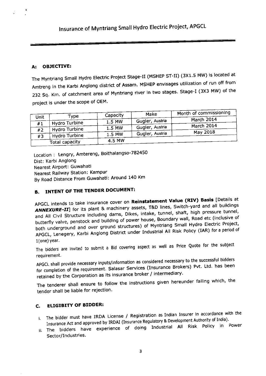#### A: OBJECTIVE:

The Myntriang Small Hydro Electric Project Stage-II (MSHEP ST-II) (3X1.5 MW) is located at Amtreng in the Karbi Anglong district of Assam. MSHEP envisages utilization of run off from 232 Sq. Km. of catchment area of Myntriang river in two stages. Stage-I (3X3 MW) of the project is under the scope of OEM.

|             |                | Capacity | Make            | Month of commissioning |
|-------------|----------------|----------|-----------------|------------------------|
| <b>Unit</b> | Type           | 1.5 MW   | Gugler, Austria | March 2014             |
| #1          | Hydro Turbine  | 1.5 MW   | Gugler, Austria | March 2014             |
| #2          | Hydro Turbine  |          | Gugler, Austria | May 2018               |
| #3          | Hydro Turbine  | 1.5 MW   |                 |                        |
|             | Total capacity | 4.5 MW   |                 |                        |

Location: Lengry, Amtereng, Boithalangso-782450 Dist: Karbi Anglong Nearest Airport: Guwahati Nearest Railway Station: Kampur By Road Distance From Guwahati: Around 140 Km

### B. INTENT OF THE TENDER DOCUMENT:

APGCL intends to take insurance cover on Reinstatement Value (RIV) Basis [Details at ANNEXURE-II] for its plant & machinery assets, T&D lines, Switch-yard and all buildings and All Civil Structure including dams, Dikes, intake, tunnel, shaft, high pressure tunnel, butterfly valve, penstock and building of power house, Boundary wall, Road etc (inclusive of both underground and over ground structures) of Myntriang Small Hydro Electric Project, APGCL, Lenegery, Karbi Anglong District under Industrial All Risk Policy (IAR) for a period of 1(one) year.

The bidders are invited to submit a Bid covering aspect as well as Price Quote for the subject requirement

APGCL shall provide necessary inputs/information as considered necessary to the successful bidders for completion of the requirement. Salasar Services (Insurance Brokers) Pvt. Ltd. has been retained by the Corporation as its insurance broker / intermediary.

tender shall be liable for rejection. The tenderer shall ensure to follow the instructions given hereunder failing which, the

#### **ELIGIBITY OF BIDDER:** c.

- The bidder must have IRDA License / Registration as Indian Insurer in accordance with the Insurance Act and approved by IRDAI (Insurance Regulatory & Development Authority of India).
- Insurance Act and approved by IRDAI (Insurance Regulatory & Development Mathems).<br>ii. The bidders have experience of doing Industrial All Risk Policy in Power sector/Industries.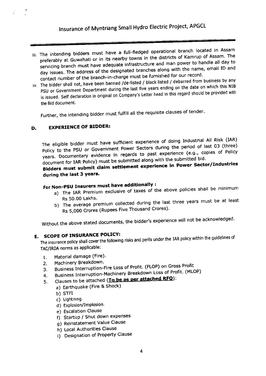- iii. The intending bidders must have a full-fledged operational branch located in Assam preferably at Guwahati or in its nearby towns in the districts of Kamrup of Assam. The servicing branch must nave adequate infrastructure and man power to handle all day to day issues. The address of the designated branches along with the name, email ID and contact number of the branch-in-charge must be furnished for our record.
- contact humber of the branch in the distance of the branch of the state of the debarred from business by any<br>iv. The bidder shall not, have been banned /de-listed / black listed / debarred from which this NIB PSU or Government Department during the last five years ending on the date on which this NIB is issued. Self declaration in original on Company's Letter head in this regard should be provided with the Bid document.

Further, the intending bidder must fulfill all the requisite clauses of tender.

#### D. EXPERIENCE OF BIDDER:

The eligible bidder must have sufficient experience of doing Industrial All Risk (IAR) Policy to the PSU or Government Power Sectors during the period of last 03 (three) years. Documentary evidence in regards to past experience (e.g., copies of Policy document for IAR Policy) must be submitted along with the submitted bid'

# document for tak Follcy) must be comment experience in Power Sector/Industries<br>Bidders must submit claim settlement experience in Power Sector/Industries<br>during the last 3 years. during the last 3 years.

# For Non-PSU Insurers must have additionally :

- a) The IAR Premium exclusive of taxes of the above policies shall be minimum<br>Rs 50.00 Lakhs.
- Rs 50.00 Lakhs.<br>b) The average premium collected during the last three years must be at least Rs 5,000 Crores (Rupees Five Thousand Crores).

Without the above stated documents, the bidder's experience will not be acknowledged.

# E. SCOPE OF INSURANCE POLICY:

The insurance policy shall cover the following risks and perils under the IAR policy within the guidelines of TAC/IRDA norms as applicable:

- 1. Material damage (Fire).
- 2. Machinery Breakdown.
- 3. Business Interruption-Fire Loss of Profit. (FLOP) on Gross Profit
- 4. Business Interruption-Machinery Breakdown Loss of Profit. (MLOP)
- 5. Clauses to be attached (To be as per attached RFQ):
	- a) Earthquake (Fire & Shock)
		- b) STFI
		- c) Lightning.
		- d) Explosion/Implosion.
		- e) Escalation Clause
		- f) Startup / Shut down expenses
		- g) Reinstatement Value Clause
		- h) Local Authorities Clause
		- i) Designation of Property Clause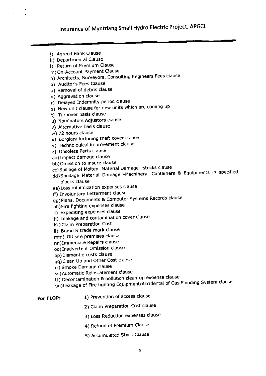- j) Agreed Bank Clause
- k) Departmental Clause
- l) Return of Premium Clause
- m) On-Account Payment Clause
- n) Architects, Surveyors, Consulting Engineers Fees clause
- o) Auditor's Fees Clause
- p) Removal of debris clause
- q) Aggravation clause
- r) Delayed Indemnity period clause
- s) New unit clause for new units which are coming up
- t) Tumover basis clause
- u) Nominators Adjustors clause
- v) Alternative basis clause
- w) 72 hours clause
- x) Burglary including theft cover clause
- y) Technological improvement clause
- z) Obsolete Parts clause
- aa) ImPact damage clause
- bb) Omission to insure clause
- cc) Spillage of Molten Material Damage -stocks clause
- dd)Spoilage Material Damage -Machinery, Containers & Equipments in specified blocks clause
- ee) Loss minimization expenses clause
- ff) Involuntary betterment clause
- gg) Plans, Documents & Computer Systems Records clause
- hh) Fire fighting expenses clause
- ii) Expediting expenses clause
- jj) Leakage and contamination cover clause
- kk) Claim Preparation Cost
- ll) Brand & trade mark clause
- mm) Off site premises clause
- nn)Immediate RePairs clause
- oo) Inadvertent Omission clause
- pp) Dismantle costs clause
- qq) Clean UP and other cost clause
- rr) Smoke Damage clause
- ss) Automatic Reinstatement clause
- tt) Decontamination & pollution clean-up expense clause
- uu)Leakage of Fire fighting Equipment/Accidental of Gas Flooding System clause
- 1) Prevention of access clause For FLOP:
	- 2) Claim Preparation Cost clause
	- 3) Loss Reduction expenses clause
	- 4) Refund of Premium Clause
	- 5) Accumulated Stock clause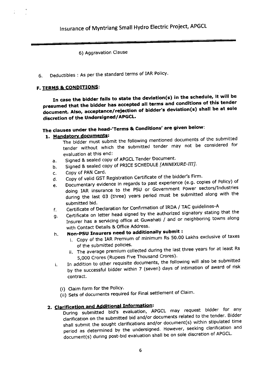#### 6) Aggravation Clause

Deductibles : As per the standard terms of IAR Policy' 6

### F. TERMS & CONDITIONS:

In case the bidder fails to state the deviation(s) in the schedule, it will be presumed that the bldder has accepted all terms and conditions of this tender document. Also, acceptance/reiecion of bidder's deviation(s) shall be at sole discretion of the Undersigned/APGCL'

# The clauses under the head-'Terms & Conditions' are given below:

### 1. Mandatory documents:

- The bidder must submit the following mentioned documents of the submitted tender without which the submitted tender may not be considered for evaluation at this end:
- a. Signed & sealed copy of APGCL Tender Document.
- b. Signed & sealed copy of PRICE SCHEDULE [ANNEXURE-III].
- c. Copy of PAN Card.
- d. Copy of valid GST Registration Certificate of the bidder's Firm'
- e. Documentary evidence in regards to past experience (e.g. copies of Policy) of
- doing IAR insurance to the PSU or Government Power sectors/Industries during the last 03 (three) years period must be submitted along with the submitted bid.
- 
- f. Certificate of Declaration for Confirmation of IRDA / TAC guidelines-A g. Certificate on letter head signed by the authorized signator, serving<br>Insurer has a servicing office at Guwahati / and or neighboring towns along with Contact Details & Office Address.

# h. Non-PSU Insurers need to additionally submit :

- i. Copy of the IAR Premium of minimum Rs 50.00 Lakhs exclusive of taxes of the submitted policies.
- ii. The average premium collected during the last three years for at least Rs 5,000 Crores (Rupees Five Thousand Crores).
- i. In addition to other requisite documents, the following will also be submitted by the successful bidder within 7 (seven) days of intimation of award of risk contract.
	- (i) Claim form for the PolicY'
	- (ii) Sets of documents required for Final settlement of Claim.

# 2. Clarification and Additional Information:

During submitted bid's evaluation, APGCL may request bidder for any clarification on the submitted bid and/or documents related to the tender. Bidder shall submit the sought clarifications and/or document(s) within stipulated time period as determined by the undersigned. However, seeking clarification and document(s) during post-bid evaluation shall be on sole discretion of APGCL'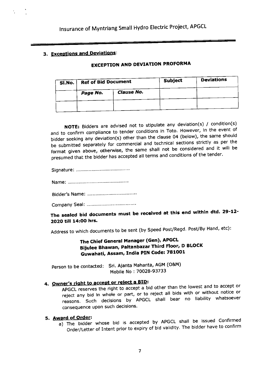### 3. Exceotions and Deviations:

### EXCEPTION AND DEVIATION PROFORMA

| SI.No. |          | <b>Ref of Bid Document</b> |  | <b>Deviations</b> |  |
|--------|----------|----------------------------|--|-------------------|--|
|        | Page No. | <b>Clause No.</b>          |  |                   |  |
|        |          |                            |  |                   |  |
|        |          |                            |  |                   |  |

NOTE: Bidders are advised not to stipulate any deviation(s) / condition(s) and to confirm compliance to tender conditions in Toto. However, in the event of bidder seeking any deviation(s) other than the clause 04 (below), the same should bidder seeking any deviation(s) offer than the share of the contributions strictly as per the<br>be submitted separately for commercial and technical sections strictly as per the format given above, otherwise, the same shall not be considered and it will be presumed that the bidder has accepted all terms and conditions of the tender.

Signature:

Name: ................... . .......

Bidder's Name: .............

Company Seal: .... ........

# The sealed bid documents must be received at this end within dtd. 29-12-2O2O till 143OO hrs.

Address to which documents to be sent (by Speed Post/Regd. Post/By Hand, etc):

The chief General Manager (Gen), APGCL Bijulee Bhawan, Paltanbazar Third Floor, D BLOCK Guwahati, Assam, India PIN Code: 781Oo1

Person to be contacted: Sri. Ajanta Mahanta, AGM (O&M) Mobile No: 70028-93733

# 4. Owner's right to accept or reject a BID:

APGCL reserves the right to accept a bid other than the lowest and to accept or reject any bid in whole or part, or to reject all bids with or without notice or reasons. Such decisions by APGCL shall bear no liability whatsoever consequence upon such decisions.

### 5.<u>Award of Order</u>:

a) The bidder whose bid is accepted by APGCL shall be issued Confirmed<br>Order/Letter of Intent prior to expiry of bid validity. The bidder have to confirm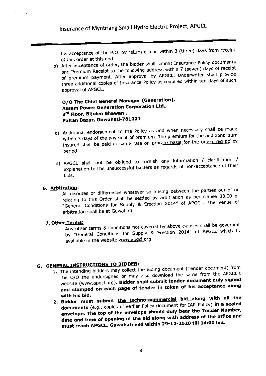his acceptance of the P.O. by return e-mail within 3 (three) days from receipt of this order at this end.

b) After acceptance of order, the bidder shall submit Insurance Policy documents Arter acceptance of every, the following address within 7 (seven) days of receipt<br>and Premium Receipt to the following address within 7 (seven) days of receipt and Fremium Reserve of the comparison by APGCL, Underwriter shall provide<br>of premium payment. After approval by APGCL, Underwriter shall provide three additional copies of Insurance Policy as required within ten days of such approval of APGCL.

O/O The Chief General Manager (Generation), Assam Power Generation Corporation Ltd., 3rd Floor, Bijulee Bhawan, Paltan Bazar, Guwahati-781001

- c) Additional endorsement to the Policy as and when necessary shall be made within 3 days of the Payment of Premium. The premium for the additional sum insured shall be paid at same rate on <u>prorate basis for</u> period.
- bids. d) APGCL shall not be obliged to furnish any information / clarification / explanation to the unsuccessful bidders as regards of non-acceptance of their

### 6. Arbitration:

All disputes or differences whatever so arising between the parties out of or relating to this Order shall be settled by arbitration as per clause 33.00 of "General Conditions for Supply & Erection 2014" of APGCL. The venue of arbitration shall be at Guwahati.

#### 7. Other Terms:

Any other terms & conditions not covered by above clauses shall be governed by "General Conditions for Supply & Erection 2014" of APGCL which is available in the website www.apgcl.org

# **G. GENERAL INSTRUCTIONS TO BIDDER:**

- NERAL INSTRUCTIONS TO BIDDER:<br>1. The intending bidders may collect the Biding document (Tender document) from the O/O the undersigned or may also download the same from the APGCL's website (www.apgcl.org). Bidder shall submit tender document duly signed and stamped on each page of tender in token of his acceptance along<br>with his bid.
- 2. Bidder must submit the techno-commercial bid along with all the documents (e.g., copies of earlier<br>envelone. The top of the envelop documents (e.g., copies of earlier Policy document for IAR Policy) in a sealed envelope. The top of the envelope should duly bear the Tender Number,<br>the end time of opening of the bid along with address of the office and date and time of opening of the bid along with address of the office and must reach APGCL, Guwahati end within 29-12-2020 till 14:00 hrs.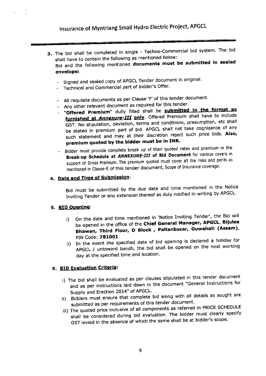- 3. The bid shall be completed in single Techno-Commercial bid system. The bid shall have to contain the following as mentioned below: Bid and the following mentioned documents must be submitted in sealed envelope:
	- Signed and sealed copy of APGCL Tender document in original.
	- Technical and Commercial part of bidder's Offer.
	- All requisite documents as per Clause 'F' of this tender document.
	- Any other relevant document as required for this tender.
	- "Offered Premium" dully filled shall be submitted in the format as furnished at Annexure-III only. Offered Premium shall have to include GST. No stipulation, deviation, terms and conditions, presumption, etc shall be stated in premium part of bid. APGCL shall not take cognizance of any such statement and may at their discretion reject such price bids. Also, premium quoted by the bidder must be in INR'
	- Bidder must provide complete break up of their quoted rates and premium in the Break-up Schedule at ANNEXURE-III of Bid Document for various covers in support of Gross Premium. The premium quoted must cover all the risks and perils as mentioned in Clause-E of this tender document, Scope of Insurance coverage.

### 4. Date and Time of Submission:

Bid must be submitted by the due date and time mentioned in the Notice Inviting Tender or any extension thereof as duly notified in writing by APGCL'

#### 5. BID Opening:

- i) On the date and time mentioned in 'Notice Inviting Tender', the Bid will be opened in the office of the Chief General Manager, APGCL, Bijulee Bhawan, Third Floor, D Block, Paltanbazar, Guwahati (Assam), PIN Code: 781OO1
- In the event the specified date of bid opening is declared a holiday for<br>ii) In the event the specified date of bid opened as the next working APGCL / untoward bandh, the bid shall be opened on the next working day at the specified time and location.

### 6. BID Evaluation Criteria:

- i) The bid shall be evaluated as per clauses stipulated in this tender document and as per instructions laid down in the document "General Instructions for Supply and Erection 2014" of APGCL'
- ii) Bidders must ensure that complete bid along with all details as sought are submitted as per requirements of this tender document.
- iii) The quoted price inclusive of all components as referred in PRICE SCHEDULE shall be considered during bid evaluation. The bidder must clearly specify GST levied in the absence of which the same shall be at bidder's scope.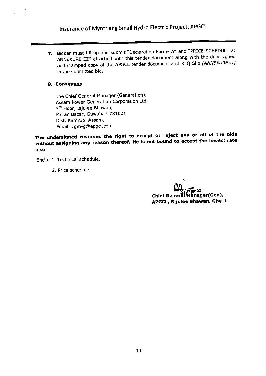7. Bidder must fill-up and submit. "Declaration Form-A, and PRICE SCHEDULE at ANNEXURE-III" attached with this tender document along with the duly signed and stamped copy of the APGCL tender document and RFQ Slip [ANNEXURE-II] in the submitted bid.

#### 8. Consignee:

The Chief General Manager (Generation), Assam Power Generation Corporation Ltd, 3<sup>rd</sup> Floor, Bijulee Bhawan, Paltan Bazar, Guwahati-781001 Dist. Kamrup, Assam, Email : cgm-g@aPgcl.com

The undersigned reserves the right to accept or reject any or all of the bids without assigning any reason thereof. He is not bound to accept the lowest rate also,

Enclo: 1. Technical schedule.

2. Price schedule.

 $\frac{1}{2}$  ממה הוא )<br>Chief General Manager (Gen), APGCL, Bijulee Bhawan, Ghy-1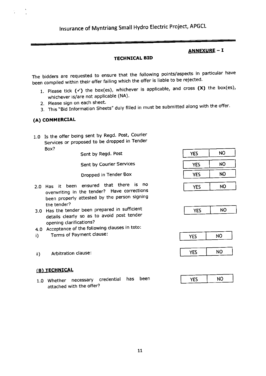### ANNEXURE - I

#### TECHNICAL BID

The bidders are requested to ensure that the following points/aspects in particular have been compiled within their offer failing which the offer is liable to be rejected.

- 1. Please tick  $(\checkmark)$  the box(es), whichever is applicable, and cross  $(X)$  the box(es), whichever is/are not applicable (NA).
- 2. Please sign on each sheet.
- 3. This "Bid Information Sheets" duly filled in must be submitted along with the offer.

#### (A) COMMERCIAL

1.0 Is the offer being sent by Regd. Post, Courier Services or proposed to be dropped in Tender Box?

Sent by Regd. Post

Sent bY Courier Services

Dropped in Tender Box

- 2.0 Has it been ensured that there is no overwriting in the tender? Have corrections been properly attested by the person signing the tender?
- 3.0 Has the tender been prepared in sufficient details clearly so as to avoid post tender opening clarifications?
- 4.0 Acceptance of the following clauses in toto:
- i) Terms of Payment clause:
- ii) Arbitration clause:

### (B) TECHNICAL

1.0 Whether necessary credential has been attached with the offer?

| YES        | NO        |
|------------|-----------|
| <b>YES</b> | <b>NO</b> |
| YES        | <b>NO</b> |
| <b>YES</b> | <b>NO</b> |





| --<br>- 7 | ٩O |
|-----------|----|
|           |    |

| NО          |
|-------------|
| ш<br>-<br>- |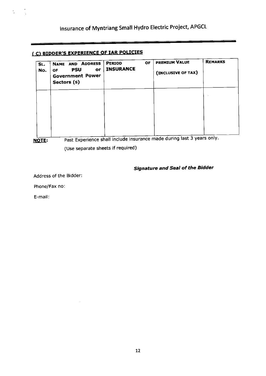# ( C) BIDDER'S EXPERIENCE OF IAR POLICIES

| SL.<br>No. | NAME AND ADDRESS<br><b>PSU</b><br><b>or</b><br>OF.<br><b>Government Power</b><br>Sectors (s) | <b>OF</b><br><b>PERIOD</b><br><b>INSURANCE</b> | PREMIUM VALUE<br>(INCLUSIVE OF TAX) | <b>REMARKS</b> |
|------------|----------------------------------------------------------------------------------------------|------------------------------------------------|-------------------------------------|----------------|
|            |                                                                                              |                                                |                                     |                |
|            |                                                                                              |                                                |                                     |                |
|            |                                                                                              |                                                |                                     |                |

**NOTE:** 

÷,

Past Experience shall include insurance made during last 3 years only.

(Use separate sheets if required)

# Signature and Seal of the Bidder

Address of the Bidder:

Phone/Fax no:

E-mail: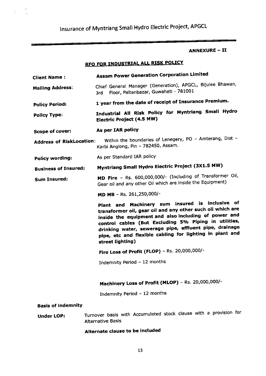ř,

### ANNEXURE - II

# RFO FOR INDUSTRIAL ALL RISK POLICY

| <b>Client Name :</b>            | <b>Assam Power Generation Corporation Limited</b>                                                                                                                                                                                                                                                                                                                        |
|---------------------------------|--------------------------------------------------------------------------------------------------------------------------------------------------------------------------------------------------------------------------------------------------------------------------------------------------------------------------------------------------------------------------|
| <b>Mailing Address:</b>         | Chief General Manager (Generation), APGCL, Bijulee Bhawan,<br>Floor, Paltanbazar, Guwahati - 781001<br>3rd                                                                                                                                                                                                                                                               |
| <b>Policy Period:</b>           | 1 year from the date of receipt of Insurance Premium.                                                                                                                                                                                                                                                                                                                    |
| <b>Policy Type:</b>             | Industrial All Risk Policy for Myntriang Small Hydro<br><b>Electric Project (4.5 MW)</b>                                                                                                                                                                                                                                                                                 |
| Scope of cover:                 | As per IAR policy                                                                                                                                                                                                                                                                                                                                                        |
| <b>Address of RiskLocation:</b> | Within the boundaries of Lenegery, PO - Amterang, Dist -<br>Karbi Anglong, Pin - 782450, Assam.                                                                                                                                                                                                                                                                          |
| Policy wording:                 | As per Standard IAR policy                                                                                                                                                                                                                                                                                                                                               |
| <b>Business of Insured:</b>     | <b>Myntriang Small Hydro Electric Project (3X1.5 MW)</b>                                                                                                                                                                                                                                                                                                                 |
| <b>Sum Insured:</b>             | MD Fire - Rs. 600,000,000/- (Including of Transformer Oil,<br>Gear oil and any other Oil which are inside the Equipment)                                                                                                                                                                                                                                                 |
|                                 | MD MB - Rs. 261,250,000/-                                                                                                                                                                                                                                                                                                                                                |
|                                 | Plant and Machinery sum insured is inclusive of<br>transformer oil, gear oil and any other such oil which are<br>inside the equipment and also including of power and<br>control cables (But Excluding 5% Piping in utilities,<br>drinking water, sewerage pipe, effluent pipe, drainage<br>pipe, etc and flexible cabling for lighting in plant and<br>street lighting) |
|                                 | Fire Loss of Profit (FLOP) - Rs. 20,000,000/-                                                                                                                                                                                                                                                                                                                            |
|                                 | Indemnity Period - 12 months                                                                                                                                                                                                                                                                                                                                             |
|                                 | Machinery Loss of Profit (MLOP) - Rs. 20,000,000/-                                                                                                                                                                                                                                                                                                                       |
|                                 | Indemnity Period - 12 months                                                                                                                                                                                                                                                                                                                                             |
| <b>Basis of indemnity</b>       |                                                                                                                                                                                                                                                                                                                                                                          |
| <b>Under LOP:</b>               | Turnover basis with Accumulated stock clause with a provision for<br><b>Alternative Basis</b>                                                                                                                                                                                                                                                                            |
|                                 | Alternate clause to be included                                                                                                                                                                                                                                                                                                                                          |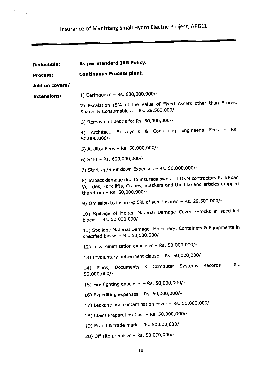$\ddot{\phantom{0}}$ 

 $\frac{1}{2}$ 

| Deductible:        | As per standard IAR Policy.                                                                                                                                                    |
|--------------------|--------------------------------------------------------------------------------------------------------------------------------------------------------------------------------|
| <b>Process:</b>    | <b>Continuous Process plant.</b>                                                                                                                                               |
| Add on covers/     |                                                                                                                                                                                |
| <b>Extensions:</b> | 1) Earthquake - Rs. 600,000,000/-                                                                                                                                              |
|                    | 2) Escalation (5% of the Value of Fixed Assets other than Stores,<br>Spares & Consumables) - Rs. 29,500,000/-                                                                  |
|                    | 3) Removal of debris for Rs. 50,000,000/-                                                                                                                                      |
|                    | 4) Architect, Surveyor's & Consulting Engineer's Fees - Rs.<br>50,000,000/-                                                                                                    |
|                    | 5) Auditor Fees - Rs. 50,000,000/-                                                                                                                                             |
|                    | 6) STFI - Rs. 600,000,000/-                                                                                                                                                    |
|                    | 7) Start Up/Shut down Expenses - Rs. 50,000,000/-                                                                                                                              |
|                    | 8) Impact damage due to insureds own and O&M contractors Rail/Road<br>Vehicles, Fork lifts, Cranes, Stackers and the like and articles dropped<br>therefrom - Rs. 50,000,000/- |
|                    | 9) Omission to insure @ 5% of sum insured - Rs. 29,500,000/-                                                                                                                   |
|                    | 10) Spillage of Molten Material Damage Cover -Stocks in specified<br>blocks - Rs. 50,000,000/-                                                                                 |
|                    | 11) Spoilage Material Damage -Machinery, Containers & Equipments in<br>specified blocks - Rs. 50,000,000/-                                                                     |
|                    | 12) Loss minimization expenses - Rs. 50,000,000/-                                                                                                                              |
|                    | 13) Involuntary betterment clause - Rs. 50,000,000/-                                                                                                                           |
|                    | Rs.<br>Plans, Documents & Computer Systems Records<br>(14)<br>50,000,000/-                                                                                                     |
|                    | 15) Fire fighting expenses - Rs. 50,000,000/-                                                                                                                                  |
|                    | 16) Expediting expenses - Rs. 50,000,000/-                                                                                                                                     |
|                    | 17) Leakage and contamination cover - Rs. 50,000,000/-                                                                                                                         |
|                    | 18) Claim Preparation Cost - Rs. 50,000,000/-                                                                                                                                  |
|                    | 19) Brand & trade mark - Rs. 50,000,000/-                                                                                                                                      |
|                    | 20) Off site premises - Rs. 50,000,000/-                                                                                                                                       |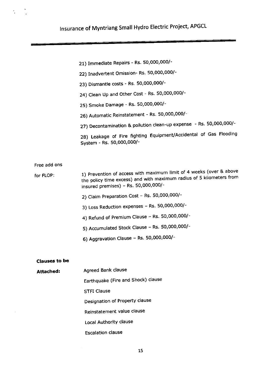- 21) Immediate Repairs Rs. 50,000,000/-
- 22) Inadvertent Omission- Rs. 50,000,000/-
- 23) Dismantle costs Rs. 50,000.000/-
- 24) Clean Up and Other Cost Rs. 50,000,000/-
- 25) Smoke Damage Rs. 50,000,000/-
- 26) Automatic Reinstatement Rs. 50,000,000/-
- 27) Decontamination & pollution clean-up expense Rs. 50,000,000/-

28) Leakage of Fire fighting Equipment/Accidental of Gas Flooding System - Rs. 50,000,000/-

Free add ons

for FLOP: 1) Prevention of access with maximum limit of 4 weeks (over & above the policy time excess) and with maximum radius of 5 kilometers from insured premises) - Rs. 50,000,000/-

- 2) Claim Preparation Cost Rs. 50,000,000/-
- 3) Loss Reduction expenses Rs. 50,000,000/-
- 4) Refund of Premium Clause Rs. 50,000,000/-
- 5) Accumulated Stock Clause Rs. 50,000,000/-
- 6) Aggravation Clause Rs. 50,000,000/-

#### Clauses to be

Attached: Agreed Bank clause

Earthquake (Fire and Shock) clause

STFI Clause

Designation of Property clause

Reinstatement value clause

Local Authority clause

Escalation clause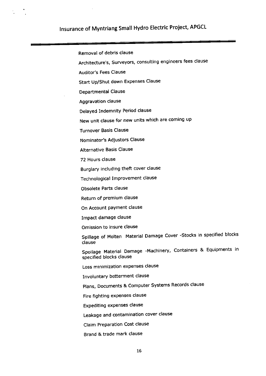Removal of debris clause Architecture's, Surveyors, consulting engineers fees clause Auditor's Fees Clause Start Up/Shut down Expenses Clause Departmental clause Aggravation clause Delayed Indemnity Period clause New unit clause for new units which are coming up Turnover Basis Clause Nominator's Adjustors Clause Alternative Basis Clause 72 Hours clause Burglary including theft cover clause Technological Improvement clause Obsolete Parts clause Return of premium clause On Account payment clause Impact damage clause Omission to insure clause Spillage of Molten Material Damage Cover -Stocks in specified blocks clause Spoilage Material Damage -Machinery, Containers & Equipments in specified blocks clause Loss minimization expenses clause Involuntary betterment clause Plans, Documents & Computer Systems Records clause Fire fighting expenses clause Expediting expenses clause Leakage and contamination cover clause Claim Preparation Cost clause

Brand & trade mark clause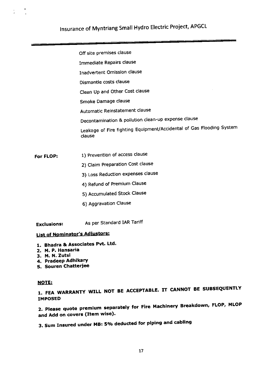Off site premises clause

Immediate Repairs clause

Inadvertent Omission clause

Dismantle costs clause

Clean Up and Other Cost clause

Smoke Damage clause

Automatic Reinstatement clause

Decontamination & pollution clean-up expense clause

Leakage of Fire fighting Equipment/Accidental of Gas Flooding System clause

- For FLOP: 1) Prevention of access clause
	- 2) Claim Preparation Cost clause
	- 3) Loss Reduction expenses clause
	- 4) Refund of Premium Clause
	- 5) Accumulated Stock Clause
	- 6) Aggravation Clause

Exclusions: As per Standard IAR Tariff

# **List of Nominator's Adjustors:**

- 1. Bhadra & Associates Pvt. Ltd.
- 2. M. P. Hansaria
- 3. M. N. Zutsi
- 4. Pradeep Adhikary
- 5. Souren Chafteriee

#### NOTE:

1. FEA WARRANTY WILL NOT BE ACCEPTABLE. IT CANNOT BE SUBSEQUENTLY **IMPOSED** 

2. Please quote premium separately for Fire Machinery Breakdown, FLOP, MLOP and Add on covers (Item wise).

3. Sum Insured under MB: 5% deducted for piping and cabling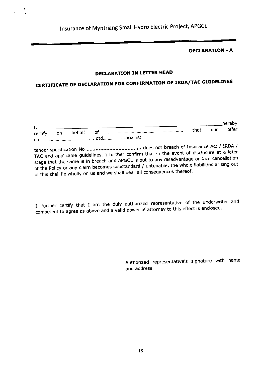DECLARATION - A

 $\mathcal{L}^{\mathcal{L}}$ 

### DECLARATION IN LETTER HEAD

# CERTIFICATE OF DECLARATION FOR CONFIRMATION OF IRDA/TAC GUIDELINES

|               |           |        |    |      |     | hereby |
|---------------|-----------|--------|----|------|-----|--------|
| ı.<br>certify | <b>OD</b> | behalf | of | that | our | offer  |
|               |           |        |    |      |     |        |

tender specification No ....'.""' " does not breach of Insurance Act / IRDA / TAC and applicable guidelines. I further confirm that in the event of disclosure at a later stage that the same is in breach and APGCL is put to any disadvantage or face cancellation of the Policy or any claim becomes substandard / untenable, the whole liabilities arising out of this shall lie wholly on us and we shall bear all consequences thereof.

I, further certify that I am the duly authorized representative of the underwriter and competent to agree as above and a valid power of attorney to this effect is enclosed.

> Authorized representative's signature with name and address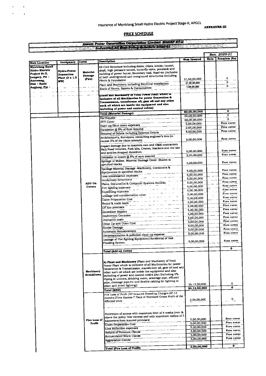**ANNEXURE-III** 

7

# **PRICE SCHEDULE**

 $\frac{1}{2}$  $\begin{array}{c} \bullet \\ \bullet \\ \bullet \end{array}$ 

|                                                   |                   |                  |                                                                                                                           |                    |      | $R$ en. 2020-21         |
|---------------------------------------------------|-------------------|------------------|---------------------------------------------------------------------------------------------------------------------------|--------------------|------|-------------------------|
|                                                   |                   |                  |                                                                                                                           | <b>Sum Insured</b> | Rate | Premium (Rs)            |
| <b>Risk Location</b>                              | Occupancy         | Cover            | <b>Description</b>                                                                                                        |                    |      |                         |
| <b>Myntriang Small</b>                            |                   |                  | All Civil Structure including dams, Dikes, intake, tunnel,                                                                |                    |      |                         |
| Hydro Electric<br>Project St-II,<br>Lengery, PO – | Hydro-Power       | <b>Material</b>  | shaft, high pressure tunnel, butterfly valve, penstock and<br>building of power house, Boundary wall, Road etc (inclusive |                    |      |                         |
|                                                   | <b>Generation</b> | <b>Damage</b>    | of both underground and overground structures) including                                                                  |                    |      |                         |
| Amterang,                                         | Plant (3 x 1.5    | First            | Plinth & Foundation                                                                                                       | 31,50,00,000       |      | 0                       |
| Dist - Karbi                                      | MW)               |                  | Plant and Machinery including Electrical Installation                                                                     | 27,50,00,000       |      | $\bf{0}$                |
| Anglong, Pin -                                    |                   |                  |                                                                                                                           | 1,00,00,000        |      | $\bf{0}$                |
|                                                   |                   |                  | Stock of Stores, Spares & Consumables                                                                                     |                    |      |                         |
|                                                   |                   |                  | Plant and Machinery of Total Power Plant which is                                                                         |                    |      |                         |
|                                                   |                   |                  | inclusive of all Machineries for power Generation &                                                                       |                    |      |                         |
|                                                   |                   |                  | Transmission, transformer oil, gear oil and any other                                                                     |                    |      |                         |
|                                                   |                   |                  | such oil which are inside the equipment and also                                                                          |                    |      |                         |
|                                                   |                   |                  | including of power and control cables]                                                                                    |                    |      | 0                       |
|                                                   |                   |                  | <b>Total (Material Damage)</b>                                                                                            | 60,00,00,000       |      |                         |
|                                                   |                   |                  | Earthquake                                                                                                                | 60,00,00,000       |      | 0                       |
|                                                   |                   |                  | <b>STFI Cover</b>                                                                                                         | 60,00,00,000       |      | $\mathbf{0}$            |
|                                                   |                   |                  | Start up/Shut down expenses                                                                                               | 5,00,00,000        |      | Free cover              |
|                                                   |                   |                  | Escalation @ 5% of Sum Insured                                                                                            | 2,95,00,000        |      | Free cover              |
|                                                   |                   |                  | Removal of Debris including External Debris                                                                               | 5,00,00,000        |      | Free cover              |
|                                                   |                   |                  | Architecture's, Surveyors, consulting engineer's fees (in                                                                 |                    |      |                         |
|                                                   |                   |                  | excess 3% of the claim amount)                                                                                            | 5,00,00,000        |      | Free cover              |
|                                                   |                   |                  |                                                                                                                           |                    |      |                         |
|                                                   |                   |                  | Impact damage due to insureds own and O&M contractors<br>Rail/Road Vehicles, Fork lifts, Cranes, Stackers and the like    |                    |      |                         |
|                                                   |                   |                  | and articles dropped therefrom.                                                                                           | 5,00,00,000        |      | Free cover              |
|                                                   |                   |                  |                                                                                                                           | 2,95,00,000        |      | Free cover              |
|                                                   |                   |                  | Omission to insure @ 5% of sum insured                                                                                    |                    |      |                         |
|                                                   |                   |                  | Spillage of Molten Material Damage Cover -Stocks in                                                                       | 5,00,00,000        |      | Free cover              |
|                                                   |                   |                  | specified blocks                                                                                                          |                    |      |                         |
|                                                   |                   |                  | Spoilage Material Damage -Machinery, Containers &                                                                         | 5,00,00,000        |      | Free cover              |
|                                                   |                   |                  | Equipments in specified blocks                                                                                            | 5.00.00,000        |      | Free cover              |
|                                                   |                   |                  | Loss minimization expenses                                                                                                |                    |      | Free cover              |
|                                                   |                   |                  | <b>Involuntary betterment</b>                                                                                             | 5,00,00,000        |      | Free cover              |
|                                                   |                   | ADD On           | Plans, Documents & Computer Systems Records                                                                               | 5,00,00,000        |      | Free cover              |
|                                                   |                   | <b>Covers</b>    | Fire fighting expenses                                                                                                    | 5,00,00,000        |      | Free cover              |
|                                                   |                   |                  | <b>Expediting expenses</b>                                                                                                | 5,00,00,000        |      | Free cover              |
|                                                   |                   |                  | Leakage and contamination cover                                                                                           | 5,00,00,000        |      | Free cover              |
|                                                   |                   |                  | Claim Preparation Cost                                                                                                    | 5,00,00,000        |      | Free cover              |
|                                                   |                   |                  | Brand & trade mark                                                                                                        | 5,00,00,000        |      |                         |
|                                                   |                   |                  | Off site premises                                                                                                         | 5.00,00,000        |      | Free cover              |
|                                                   |                   |                  | Immediate Repairs                                                                                                         | 5.00.00,000        |      | Free cover              |
|                                                   |                   |                  | Inadvertent Omission                                                                                                      | 5,00,00,000        |      | Free cover              |
|                                                   |                   |                  | Dismantle costs                                                                                                           | 5,00,00,000        |      | Free cover              |
|                                                   |                   |                  | Clean Up and Other Cost                                                                                                   | 5,00,00,000        |      | Free cover              |
|                                                   |                   |                  | Smoke Damage                                                                                                              | 5,00,00,000        |      | Free cover              |
|                                                   |                   |                  | Automatic Reinstatement                                                                                                   | 5,00,00,000        |      | Free cover              |
|                                                   |                   |                  | Decontamination & pollution clean-up expense                                                                              | 5,00,00,000        |      | Free cover              |
|                                                   |                   |                  | Leakage of Fire fighting Equipment/Accidental of Gas                                                                      |                    |      |                         |
|                                                   |                   |                  |                                                                                                                           | 5.00.00.000        |      | Free cover              |
|                                                   |                   |                  | Flooding System                                                                                                           |                    |      |                         |
|                                                   |                   |                  |                                                                                                                           |                    |      | 0                       |
|                                                   |                   |                  | Total (Add-on Cover)                                                                                                      |                    |      |                         |
|                                                   |                   |                  |                                                                                                                           |                    |      |                         |
|                                                   |                   |                  | A) Plant and Machinery [Plant and Machinery of Total                                                                      |                    |      |                         |
|                                                   |                   |                  | Power Plant which is inclusive of all Machineries for power                                                               |                    |      |                         |
|                                                   |                   |                  | Generation & Transmission, transformer oil, gear oil and any                                                              |                    |      |                         |
|                                                   |                   | Machinery        | other such oil which are inside the equipment and also                                                                    |                    |      |                         |
|                                                   |                   | <b>BreakDown</b> | including of power and control cables (But Excluding 5%                                                                   |                    |      |                         |
|                                                   |                   |                  | Piping in utilities, drinking water, sewerage pipe, effluent                                                              |                    |      |                         |
|                                                   |                   |                  | pipe, drainage pipe, etc and flexible cabling for lighting in                                                             | 26.12.50.000       |      | 0                       |
|                                                   |                   |                  | plant and street lighting)                                                                                                |                    |      | $\overline{\mathbf{o}}$ |
|                                                   |                   |                  | <b>Total (MBD)</b>                                                                                                        | 26,12,50,000       |      |                         |
|                                                   |                   |                  | Fire Loss of Profit (NP+Insured Standing Charges (IP-12                                                                   |                    |      |                         |
|                                                   |                   |                  | months (Time Excess-7 Days of Standard Gross Profit of the                                                                |                    |      | $\mathbf{0}$            |
|                                                   |                   |                  | Affected Unit)                                                                                                            | 2,00,00,000        |      |                         |
|                                                   |                   |                  |                                                                                                                           |                    |      |                         |
|                                                   |                   |                  |                                                                                                                           |                    |      |                         |
|                                                   |                   |                  | Prevention of access with maximum limit of 4 weeks (over &                                                                |                    |      |                         |
|                                                   |                   |                  | above the policy time excess) and with maximum radius of 5                                                                |                    |      | Free cover              |
|                                                   |                   | Fire Loss of     | kilometers from insured premises)                                                                                         | 5,00,00,000        |      |                         |
|                                                   |                   | Profit           | Claim Preparation Cost                                                                                                    | 5,00,00,000        |      | Free cover              |
|                                                   |                   |                  | Loss Reduction expenses                                                                                                   | 5,00,00,000        |      | Free cover              |
|                                                   |                   |                  | Refund of Premium Clause                                                                                                  | 5,00,00,000        |      | Free cover              |
|                                                   |                   |                  | <b>Accumulated Stock Clause</b>                                                                                           | 5,00,00,000        |      | Free cover              |
|                                                   |                   |                  | <b>Aggravation Clause</b>                                                                                                 | 5,00,00,000        |      | Free cover              |
|                                                   |                   |                  |                                                                                                                           |                    |      |                         |
|                                                   |                   |                  |                                                                                                                           |                    |      | $\bullet$               |